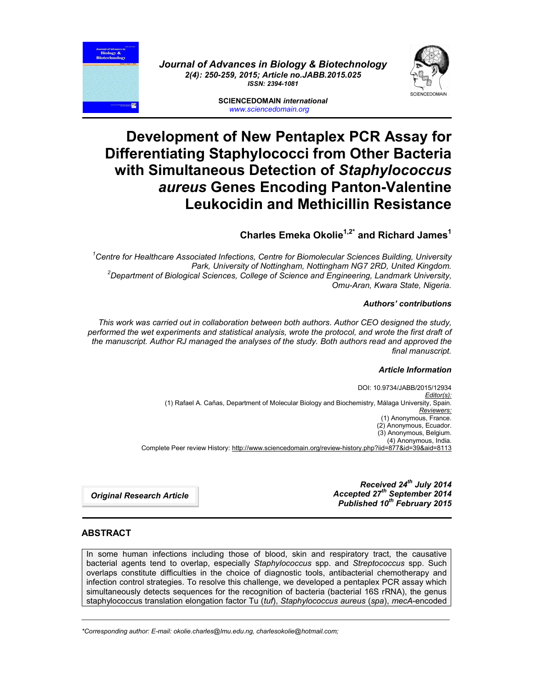



**SCIENCEDOMAIN** *international www.sciencedomain.org*

# **Development of New Pentaplex PCR Assay for Differentiating Staphylococci from Other Bacteria with Simultaneous Detection of** *Staphylococcus aureus* **Genes Encoding Panton-Valentine Leukocidin and Methicillin Resistance**

# **Charles Emeka Okolie1,2\* and Richard James1**

*1 Centre for Healthcare Associated Infections, Centre for Biomolecular Sciences Building, University Park, University of Nottingham, Nottingham NG7 2RD, United Kingdom. <sup>2</sup> Department of Biological Sciences, College of Science and Engineering, Landmark University, Omu-Aran, Kwara State, Nigeria.*

### *Authors' contributions*

*This work was carried out in collaboration between both authors. Author CEO designed the study, performed the wet experiments and statistical analysis, wrote the protocol, and wrote the first draft of the manuscript. Author RJ managed the analyses of the study. Both authors read and approved the final manuscript.*

### *Article Information*

DOI: 10.9734/JABB/2015/12934 *Editor(s):* (1) Rafael A. Cañas, Department of Molecular Biology and Biochemistry, Málaga University, Spain. *Reviewers:* (1) Anonymous, France. (2) Anonymous, Ecuador. (3) Anonymous, Belgium. (4) Anonymous, India. Complete Peer review History: http://www.sciencedomain.org/review-history.php?iid=877&id=39&aid=8113

> *Received 24th July 2014 Accepted 27th September 2014 Published 10th February 2015*

*Original Research Article*

# **ABSTRACT**

In some human infections including those of blood, skin and respiratory tract, the causative bacterial agents tend to overlap, especially *Staphylococcus* spp. and *Streptococcus* spp. Such overlaps constitute difficulties in the choice of diagnostic tools, antibacterial chemotherapy and infection control strategies. To resolve this challenge, we developed a pentaplex PCR assay which simultaneously detects sequences for the recognition of bacteria (bacterial 16S rRNA), the genus staphylococcus translation elongation factor Tu (*tuf*), *Staphylococcus aureus* (*spa*), *mecA*-encoded

\_\_\_\_\_\_\_\_\_\_\_\_\_\_\_\_\_\_\_\_\_\_\_\_\_\_\_\_\_\_\_\_\_\_\_\_\_\_\_\_\_\_\_\_\_\_\_\_\_\_\_\_\_\_\_\_\_\_\_\_\_\_\_\_\_\_\_\_\_\_\_\_\_\_\_\_\_\_\_\_\_\_\_\_\_\_\_\_\_\_\_\_\_\_\_\_\_\_\_\_\_

*\*Corresponding author: E-mail: okolie.charles@lmu.edu.ng, charlesokolie@hotmail.com;*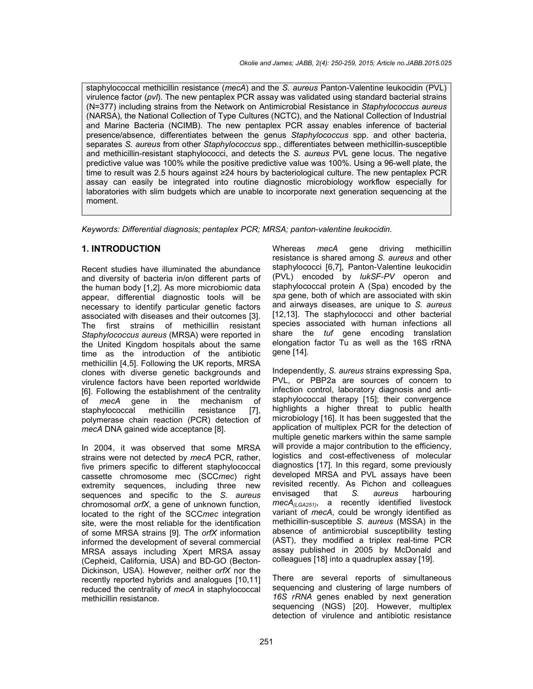staphylococcal methicillin resistance (*mecA*) and the *S. aureus* Panton-Valentine leukocidin (PVL) virulence factor (*pvl*). The new pentaplex PCR assay was validated using standard bacterial strains (N=377) including strains from the Network on Antimicrobial Resistance in *Staphylococcus aureus* (NARSA), the National Collection of Type Cultures (NCTC), and the National Collection of Industrial and Marine Bacteria (NCIMB). The new pentaplex PCR assay enables inference of bacterial presence/absence, differentiates between the genus *Staphylococcus* spp. and other bacteria, separates *S. aureus* from other *Staphylococcus* spp., differentiates between methicillin-susceptible and methicillin-resistant staphylococci, and detects the *S. aureus* PVL gene locus. The negative predictive value was 100% while the positive predictive value was 100%. Using a 96-well plate, the time to result was 2.5 hours against ≥24 hours by bacteriological culture. The new pentaplex PCR assay can easily be integrated into routine diagnostic microbiology workflow especially for laboratories with slim budgets which are unable to incorporate next generation sequencing at the moment.

*Keywords: Differential diagnosis; pentaplex PCR; MRSA; panton-valentine leukocidin.*

### **1. INTRODUCTION**

Recent studies have illuminated the abundance and diversity of bacteria in/on different parts of the human body [1,2]. As more microbiomic data appear, differential diagnostic tools will be necessary to identify particular genetic factors associated with diseases and their outcomes [3]. The first strains of methicillin resistant *Staphylococcus aureus* (MRSA) were reported in the United Kingdom hospitals about the same time as the introduction of the antibiotic methicillin [4,5]. Following the UK reports, MRSA clones with diverse genetic backgrounds and virulence factors have been reported worldwide [6]. Following the establishment of the centrality of *mecA* gene in the mechanism of staphylococcal methicillin resistance [7], polymerase chain reaction (PCR) detection of *mecA* DNA gained wide acceptance [8].

In 2004, it was observed that some MRSA strains were not detected by *mecA* PCR, rather, five primers specific to different staphylococcal cassette chromosome mec (SCC*mec*) right extremity sequences, including three new sequences and specific to the *S. aureus* chromosomal *orfX*, a gene of unknown function, located to the right of the SCC*mec* integration site, were the most reliable for the identification of some MRSA strains [9]. The *orfX* information informed the development of several commercial MRSA assays including Xpert MRSA assay (Cepheid, California, USA) and BD-GO (Becton-Dickinson, USA). However, neither *orfX* nor the recently reported hybrids and analogues [10,11] reduced the centrality of *mecA* in staphylococcal methicillin resistance.

Whereas *mecA* gene driving methicillin resistance is shared among *S. aureus* and other staphylococci [6,7], Panton-Valentine leukocidin (PVL) encoded by *lukSF-PV* operon and staphylococcal protein A (Spa) encoded by the *spa* gene, both of which are associated with skin and airways diseases, are unique to *S. aureus* [12,13]. The staphylococci and other bacterial species associated with human infections all share the *tuf* gene encoding translation elongation factor Tu as well as the 16S rRNA gene [14].

Independently, *S. aureus* strains expressing Spa, PVL, or PBP2a are sources of concern to infection control, laboratory diagnosis and antistaphylococcal therapy [15]; their convergence highlights a higher threat to public health microbiology [16]. It has been suggested that the application of multiplex PCR for the detection of multiple genetic markers within the same sample will provide a major contribution to the efficiency, logistics and cost-effectiveness of molecular diagnostics [17]. In this regard, some previously developed MRSA and PVL assays have been revisited recently. As Pichon and colleagues envisaged that *S. aureus* harbouring *mecA(LGA251)*, a recently identified livestock variant of *mecA*, could be wrongly identified as methicillin-susceptible *S. aureus* (MSSA) in the absence of antimicrobial susceptibility testing (AST), they modified a triplex real-time PCR assay published in 2005 by McDonald and colleagues [18] into a quadruplex assay [19].

There are several reports of simultaneous sequencing and clustering of large numbers of *16S rRNA* genes enabled by next generation sequencing (NGS) [20]. However, multiplex detection of virulence and antibiotic resistance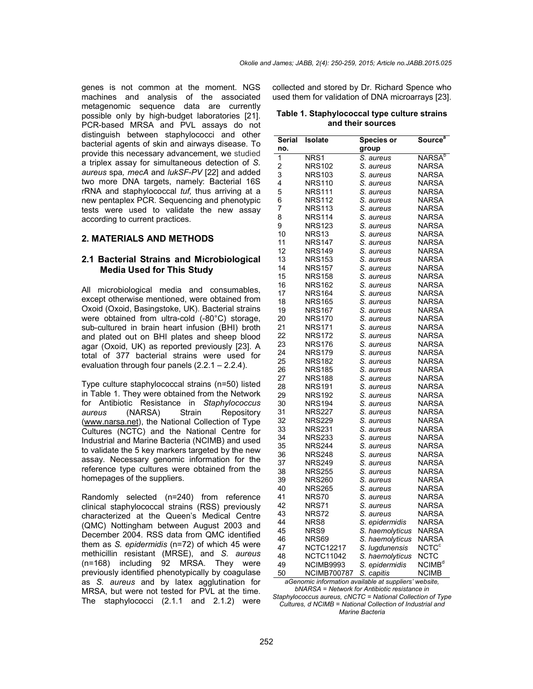genes is not common at the moment. NGS machines and analysis of the associated metagenomic sequence data are currently possible only by high-budget laboratories [21]. PCR-based MRSA and PVL assays do not distinguish between staphylococci and other bacterial agents of skin and airways disease. To provide this necessary advancement, we studied a triplex assay for simultaneous detection of *S. aureus* spa*, mecA* and *lukSF-PV* [22] and added two more DNA targets, namely: Bacterial 16S rRNA and staphylococcal *tuf,* thus arriving at a new pentaplex PCR. Sequencing and phenotypic tests were used to validate the new assay according to current practices.

### **2. MATERIALS AND METHODS**

#### **2.1 Bacterial Strains and Microbiological Media Used for This Study**

All microbiological media and consumables, except otherwise mentioned, were obtained from Oxoid (Oxoid, Basingstoke, UK). Bacterial strains were obtained from ultra-cold (-80°C) storage, sub-cultured in brain heart infusion (BHI) broth and plated out on BHI plates and sheep blood agar (Oxoid, UK) as reported previously [23]. A total of 377 bacterial strains were used for evaluation through four panels (2.2.1 – 2.2.4).

Type culture staphylococcal strains (n=50) listed in Table 1. They were obtained from the Network for Antibiotic Resistance in *Staphylococcus aureus* (NARSA) Strain Repository (www.narsa.net), the National Collection of Type Cultures (NCTC) and the National Centre for Industrial and Marine Bacteria (NCIMB) and used to validate the 5 key markers targeted by the new assay. Necessary genomic information for the reference type cultures were obtained from the homepages of the suppliers.

Randomly selected (n=240) from reference clinical staphylococcal strains (RSS) previously characterized at the Queen's Medical Centre (QMC) Nottingham between August 2003 and December 2004. RSS data from QMC identified them as *S. epidermidis* (n=72) of which 45 were methicillin resistant (MRSE), and *S. aureus* (n=168) including 92 MRSA. They were previously identified phenotypically by coagulase as *S. aureus* and by latex agglutination for MRSA, but were not tested for PVL at the time. The staphylococci (2.1.1 and 2.1.2) were

collected and stored by Dr. Richard Spence who used them for validation of DNA microarrays [23].

| Table 1. Staphylococcal type culture strains |  |  |  |  |
|----------------------------------------------|--|--|--|--|
| and their sources                            |  |  |  |  |

| Serial | <b>Isolate</b>     | Species or      | Source <sup>a</sup>     |
|--------|--------------------|-----------------|-------------------------|
| no.    |                    | group           |                         |
| 1      | NRS1               | S. aureus       | NARSA <sup>b</sup>      |
| 2      | <b>NRS102</b>      | S. aureus       | NARSA                   |
| 3      | <b>NRS103</b>      | S. aureus       | <b>NARSA</b>            |
| 4      | <b>NRS110</b>      | S. aureus       | NARSA                   |
| 5      | <b>NRS111</b>      | S. aureus       | <b>NARSA</b>            |
| 6      | <b>NRS112</b>      | S. aureus       | <b>NARSA</b>            |
| 7      | <b>NRS113</b>      | S. aureus       | NARSA                   |
| 8      | <b>NRS114</b>      | S. aureus       | <b>NARSA</b>            |
| 9      | <b>NRS123</b>      | S. aureus       | <b>NARSA</b>            |
| 10     | NRS <sub>13</sub>  | S. aureus       | NARSA                   |
| 11     | <b>NRS147</b>      | S. aureus       | <b>NARSA</b>            |
| 12     | NRS149             | S. aureus       | NARSA                   |
| 13     | <b>NRS153</b>      | S. aureus       | NARSA                   |
| 14     | <b>NRS157</b>      | S. aureus       | NARSA                   |
| 15     | <b>NRS158</b>      | S. aureus       | <b>NARSA</b>            |
| 16     | <b>NRS162</b>      | S. aureus       | <b>NARSA</b>            |
| 17     | <b>NRS164</b>      | S. aureus       | <b>NARSA</b>            |
| 18     | <b>NRS165</b>      | S. aureus       | NARSA                   |
| 19     | <b>NRS167</b>      | S. aureus       | NARSA                   |
| 20     | <b>NRS170</b>      | S. aureus       | <b>NARSA</b>            |
| 21     | <b>NRS171</b>      | S. aureus       | NARSA                   |
| 22     | <b>NRS172</b>      | S. aureus       | NARSA                   |
| 23     | <b>NRS176</b>      | S. aureus       | NARSA                   |
| 24     | <b>NRS179</b>      | S. aureus       | <b>NARSA</b>            |
| 25     | <b>NRS182</b>      | S. aureus       | <b>NARSA</b>            |
| 26     | NRS185             | S. aureus       | NARSA                   |
| 27     | <b>NRS188</b>      | S. aureus       | NARSA                   |
| 28     | <b>NRS191</b>      | S. aureus       | <b>NARSA</b>            |
| 29     | <b>NRS192</b>      | S. aureus       | NARSA                   |
| 30     | NRS194             | S. aureus       | NARSA                   |
| 31     | <b>NRS227</b>      | S. aureus       | <b>NARSA</b>            |
| 32     | <b>NRS229</b>      | S. aureus       | NARSA                   |
| 33     |                    |                 |                         |
|        | <b>NRS231</b>      | S. aureus       | <b>NARSA</b>            |
| 34     | <b>NRS233</b>      | S. aureus       | <b>NARSA</b>            |
| 35     | <b>NRS244</b>      | S. aureus       | NARSA                   |
| 36     | <b>NRS248</b>      | S. aureus       | NARSA                   |
| 37     | <b>NRS249</b>      | S. aureus       | <b>NARSA</b>            |
| 38     | NRS255             | S. aureus       | NARSA                   |
| 39     | <b>NRS260</b>      | S. aureus       | NARSA                   |
| 40     | <b>NRS265</b>      | S. aureus       | <b>NARSA</b>            |
| 41     | <b>NRS70</b>       | S. aureus       | <b>NARSA</b>            |
| 42     | NRS71              | S. aureus       | <b>NARSA</b>            |
| 43     | NRS72              | S. aureus       | NARSA                   |
| 44     | NRS8               | S. epidermidis  | NARSA                   |
| 45     | NRS9               | S. haemolyticus | <b>NARSA</b>            |
| 46     | NRS69              | S. haemolyticus | NARSA                   |
| 47     | NCTC12217          | S. lugdunensis  | <b>NCTC<sup>c</sup></b> |
| 48     | NCTC11042          | S. haemolyticus | NCTC                    |
| 49     | NCIMB9993          | S. epidermidis  | NCIMB <sup>d</sup>      |
| 50     | <b>NCIMB700787</b> | S. capitis      | <b>NCIMB</b>            |

*aGenomic information available at suppliers' website, bNARSA = Network for Antibiotic resistance in* 

*Staphylococcus aureus, cNCTC = National Collection of Type Cultures, d NCIMB = National Collection of Industrial and Marine Bacteria*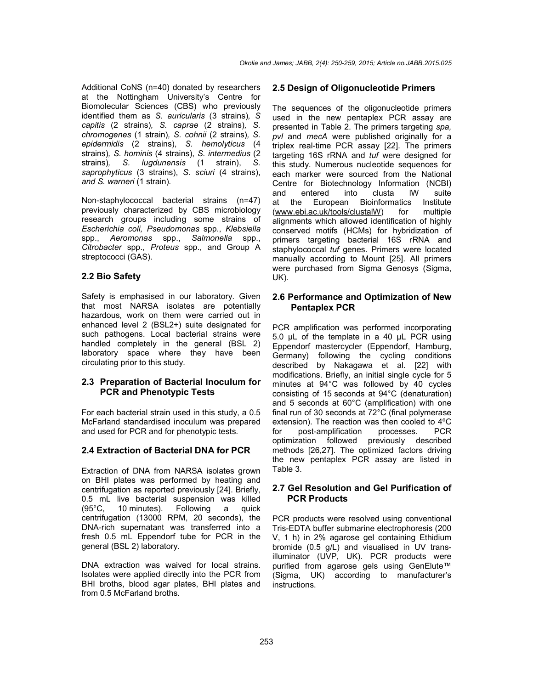Additional CoNS (n=40) donated by researchers at the Nottingham University's Centre for Biomolecular Sciences (CBS) who previously identified them as *S. auricularis* (3 strains)*, S capitis* (2 strains)*, S. caprae* (2 strains)*, S. chromogenes* (1 strain)*, S. cohnii* (2 strains)*, S. epidermidis* (2 strains), *S. hemolyticus* (4 strains)*, S. hominis* (4 strains), *S. intermedius* (2 strains)*, S. lugdunensis* (1 strain), *S. saprophyticus* (3 strains), *S. sciuri* (4 strains), *and S. warneri* (1 strain)*.*

Non-staphylococcal bacterial strains (n=47) previously characterized by CBS microbiology research groups including some strains of *Escherichia coli, Pseudomonas* spp., *Klebsiella* spp., *Aeromonas* spp., *Salmonella* spp., *Citrobacter* spp., *Proteus* spp., and Group A streptococci (GAS).

# **2.2 Bio Safety**

Safety is emphasised in our laboratory. Given that most NARSA isolates are potentially hazardous, work on them were carried out in enhanced level 2 (BSL2+) suite designated for such pathogens. Local bacterial strains were handled completely in the general (BSL 2) laboratory space where they have been circulating prior to this study.

### **2.3 Preparation of Bacterial Inoculum for PCR and Phenotypic Tests**

For each bacterial strain used in this study, a 0.5 McFarland standardised inoculum was prepared and used for PCR and for phenotypic tests.

### **2.4 Extraction of Bacterial DNA for PCR**

Extraction of DNA from NARSA isolates grown on BHI plates was performed by heating and centrifugation as reported previously [24]. Briefly, 0.5 mL live bacterial suspension was killed  $(95^{\circ}C$ . 10 minutes). Following a quick (95°C, 10 minutes). Following a quick centrifugation (13000 RPM, 20 seconds), the DNA-rich supernatant was transferred into a fresh 0.5 mL Eppendorf tube for PCR in the general (BSL 2) laboratory.

DNA extraction was waived for local strains. Isolates were applied directly into the PCR from BHI broths, blood agar plates, BHI plates and from 0.5 McFarland broths.

## **2.5 Design of Oligonucleotide Primers**

The sequences of the oligonucleotide primers used in the new pentaplex PCR assay are presented in Table 2. The primers targeting *spa, pvl* and *mecA* were published originally for a triplex real-time PCR assay [22]. The primers targeting 16S rRNA and *tuf* were designed for this study. Numerous nucleotide sequences for each marker were sourced from the National Centre for Biotechnology Information (NCBI) and entered into clusta lW suite at the European Bioinformatics Institute (www.ebi.ac.uk/tools/clustalW) for multiple alignments which allowed identification of highly conserved motifs (HCMs) for hybridization of primers targeting bacterial 16S rRNA and staphylococcal *tuf* genes. Primers were located manually according to Mount [25]. All primers were purchased from Sigma Genosys (Sigma, UK).

### **2.6 Performance and Optimization of New Pentaplex PCR**

PCR amplification was performed incorporating 5.0 µL of the template in a 40 µL PCR using Eppendorf mastercycler (Eppendorf, Hamburg, Germany) following the cycling conditions described by Nakagawa et al. [22] with modifications. Briefly, an initial single cycle for 5 minutes at 94°C was followed by 40 cycles consisting of 15 seconds at 94°C (denaturation) and 5 seconds at 60°C (amplification) with one final run of 30 seconds at 72°C (final polymerase extension). The reaction was then cooled to 4ºC for post-amplification processes. PCR optimization followed previously described methods [26,27]. The optimized factors driving the new pentaplex PCR assay are listed in Table 3.

## **2.7 Gel Resolution and Gel Purification of PCR Products**

PCR products were resolved using conventional Tris-EDTA buffer submarine electrophoresis (200 V, 1 h) in 2% agarose gel containing Ethidium bromide (0.5 g/L) and visualised in UV transilluminator (UVP, UK). PCR products were purified from agarose gels using GenElute™ (Sigma, UK) according to manufacturer's instructions.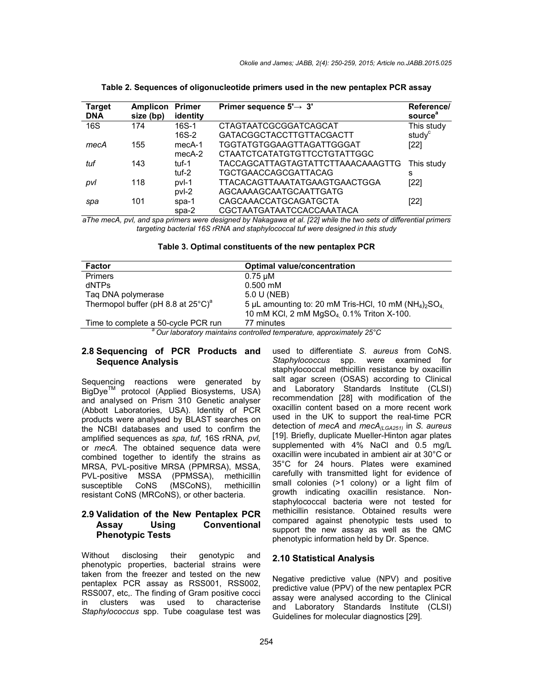| <b>Target</b><br><b>DNA</b> | <b>Amplicon Primer</b><br>size (bp) | identity | Primer sequence $5' \rightarrow 3'$ | Reference/<br>source <sup>a</sup> |
|-----------------------------|-------------------------------------|----------|-------------------------------------|-----------------------------------|
| 16S                         | 174                                 | $16S-1$  | CTAGTAATCGCGGATCAGCAT               | This study                        |
|                             |                                     | $16S-2$  | <b>GATACGGCTACCTTGTTACGACTT</b>     | study <sup>c</sup>                |
| mecA                        | 155                                 | mecA-1   | TGGTATGTGGAAGTTAGATTGGGAT           | [22]                              |
|                             |                                     | $mecA-2$ | CTAATCTCATATGTGTTCCTGTATTGGC        |                                   |
| tuf                         | 143                                 | tuf-1    | TACCAGCATTAGTAGTATTCTTAAACAAAGTTG   | This study                        |
|                             |                                     | tuf-2    | <b>TGCTGAACCAGCGATTACAG</b>         | s                                 |
| pvl                         | 118                                 | pvl-1    | TTACACAGTTAAATATGAAGTGAACTGGA       | [22]                              |
|                             |                                     | pvl-2    | AGCAAAAGCAATGCAATTGATG              |                                   |
| spa                         | 101                                 | $spa-1$  | CAGCAAACCATGCAGATGCTA               | [22]                              |
|                             |                                     | $spa-2$  | CGCTAATGATAATCCACCAAATACA           |                                   |

**Table 2. Sequences of oligonucleotide primers used in the new pentaplex PCR assay**

*aThe mecA, pvl, and spa primers were designed by Nakagawa et al. [22] while the two sets of differential primers targeting bacterial 16S rRNA and staphylococcal tuf were designed in this study*

**Table 3. Optimal constituents of the new pentaplex PCR**

| Factor                                                                           | <b>Optimal value/concentration</b>                                              |  |  |  |
|----------------------------------------------------------------------------------|---------------------------------------------------------------------------------|--|--|--|
| <b>Primers</b>                                                                   | $0.75 \mu M$                                                                    |  |  |  |
| dNTPs                                                                            | $0.500$ mM                                                                      |  |  |  |
| Taq DNA polymerase                                                               | 5.0 U (NEB)                                                                     |  |  |  |
| Thermopol buffer (pH 8.8 at $25^{\circ}$ C) <sup>a</sup>                         | 5 µL amounting to: 20 mM Tris-HCl, 10 mM ( $NH4$ ) <sub>2</sub> SO <sub>4</sub> |  |  |  |
|                                                                                  | 10 mM KCl, 2 mM MgSO <sub>4</sub> 0.1% Triton X-100.                            |  |  |  |
| Time to complete a 50-cycle PCR run                                              | 77 minutes                                                                      |  |  |  |
| <sup>a</sup> Our laboratory maintains controlled temperature, approximately 25°C |                                                                                 |  |  |  |

#### **2.8 Sequencing of PCR Products and Sequence Analysis**

Sequencing reactions were generated by BigDyeTM protocol (Applied Biosystems, USA) and analysed on Prism 310 Genetic analyser (Abbott Laboratories, USA). Identity of PCR products were analysed by BLAST searches on the NCBI databases and used to confirm the amplified sequences as *spa, tuf,* 16S rRNA*, pvl,*  or *mecA.* The obtained sequence data were combined together to identify the strains as MRSA, PVL-positive MRSA (PPMRSA), MSSA, PVL-positive MSSA (PPMSSA), methicillin susceptible CoNS (MSCoNS), resistant CoNS (MRCoNS), or other bacteria.

### **2.9 Validation of the New Pentaplex PCR Assay Using Conventional Phenotypic Tests**

Without disclosing their genotypic and phenotypic properties, bacterial strains were taken from the freezer and tested on the new pentaplex PCR assay as RSS001, RSS002, RSS007, etc,. The finding of Gram positive cocci in clusters was used to characterise *Staphylococcus* spp. Tube coagulase test was used to differentiate *S. aureus* from CoNS. *Staphylococcus* spp. were examined for staphylococcal methicillin resistance by oxacillin salt agar screen (OSAS) according to Clinical and Laboratory Standards Institute (CLSI) recommendation [28] with modification of the oxacillin content based on a more recent work used in the UK to support the real-time PCR detection of *mecA* and *mecA(LGA251)* in *S. aureus* [19]. Briefly, duplicate Mueller-Hinton agar plates supplemented with 4% NaCl and 0.5 mg/L oxacillin were incubated in ambient air at 30°C or 35°C for 24 hours. Plates were examined carefully with transmitted light for evidence of small colonies (>1 colony) or a light film of growth indicating oxacillin resistance. Nonstaphylococcal bacteria were not tested for methicillin resistance. Obtained results were compared against phenotypic tests used to support the new assay as well as the QMC phenotypic information held by Dr. Spence.

#### **2.10 Statistical Analysis**

Negative predictive value (NPV) and positive predictive value (PPV) of the new pentaplex PCR assay were analysed according to the Clinical and Laboratory Standards Institute (CLSI) Guidelines for molecular diagnostics [29].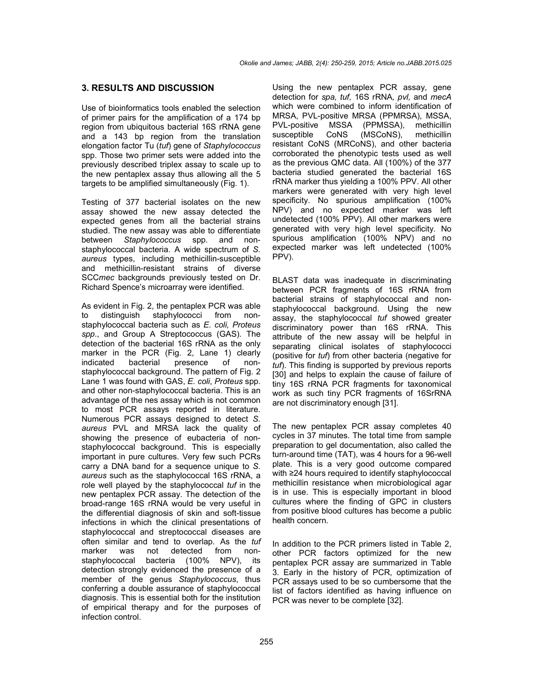#### **3. RESULTS AND DISCUSSION**

Use of bioinformatics tools enabled the selection of primer pairs for the amplification of a 174 bp region from ubiquitous bacterial 16S rRNA gene and a 143 bp region from the translation elongation factor Tu (*tuf*) gene of *Staphylococcus*  spp. Those two primer sets were added into the previously described triplex assay to scale up to the new pentaplex assay thus allowing all the 5 targets to be amplified simultaneously (Fig. 1).

Testing of 377 bacterial isolates on the new assay showed the new assay detected the expected genes from all the bacterial strains studied. The new assay was able to differentiate between *Staphylococcus* spp. and nonstaphylococcal bacteria. A wide spectrum of *S. aureus* types, including methicillin-susceptible and methicillin-resistant strains of diverse SCC*mec* backgrounds previously tested on Dr. Richard Spence's microarray were identified.

As evident in Fig. 2, the pentaplex PCR was able<br>to distinguish staphylococci from nonto distinguish staphylococci from nonstaphylococcal bacteria such as *E. coli, Proteus spp*., and Group A Streptococcus (GAS). The detection of the bacterial 16S rRNA as the only marker in the PCR (Fig. 2, Lane 1) clearly indicated bacterial presence of nonstaphylococcal background. The pattern of Fig. 2 Lane 1 was found with GAS, *E. coli*, *Proteus* spp. and other non-staphylococcal bacteria. This is an advantage of the nes assay which is not common to most PCR assays reported in literature. Numerous PCR assays designed to detect *S. aureus* PVL and MRSA lack the quality of showing the presence of eubacteria of nonstaphylococcal background. This is especially important in pure cultures. Very few such PCRs carry a DNA band for a sequence unique to *S. aureus* such as the staphylococcal 16S rRNA, a role well played by the staphylococcal *tuf* in the new pentaplex PCR assay. The detection of the broad-range 16S rRNA would be very useful in the differential diagnosis of skin and soft-tissue infections in which the clinical presentations of staphylococcal and streptococcal diseases are often similar and tend to overlap. As the *tuf*  marker was not detected from nonstaphylococcal bacteria (100% NPV), its detection strongly evidenced the presence of a member of the genus *Staphylococcus*, thus conferring a double assurance of staphylococcal diagnosis. This is essential both for the institution of empirical therapy and for the purposes of infection control.

Using the new pentaplex PCR assay, gene detection for *spa, tuf,* 16S rRNA*, pvl,* and *mecA*  which were combined to inform identification of MRSA, PVL-positive MRSA (PPMRSA), MSSA, PVL-positive MSSA (PPMSSA), methicillin susceptible CoNS (MSCoNS), methicillin resistant CoNS (MRCoNS), and other bacteria corroborated the phenotypic tests used as well as the previous QMC data. All (100%) of the 377 bacteria studied generated the bacterial 16S rRNA marker thus yielding a 100% PPV. All other markers were generated with very high level specificity. No spurious amplification (100% NPV) and no expected marker was left undetected (100% PPV). All other markers were generated with very high level specificity. No spurious amplification (100% NPV) and no expected marker was left undetected (100% PPV).

BLAST data was inadequate in discriminating between PCR fragments of 16S rRNA from bacterial strains of staphylococcal and nonstaphylococcal background. Using the new assay, the staphylococcal *tuf* showed greater discriminatory power than 16S rRNA. This attribute of the new assay will be helpful in separating clinical isolates of staphylococci (positive for *tuf*) from other bacteria (negative for *tuf*). This finding is supported by previous reports [30] and helps to explain the cause of failure of tiny 16S rRNA PCR fragments for taxonomical work as such tiny PCR fragments of 16SrRNA are not discriminatory enough [31].

The new pentaplex PCR assay completes 40 cycles in 37 minutes. The total time from sample preparation to gel documentation, also called the turn-around time (TAT), was 4 hours for a 96-well plate. This is a very good outcome compared with ≥24 hours required to identify staphylococcal methicillin resistance when microbiological agar is in use. This is especially important in blood cultures where the finding of GPC in clusters from positive blood cultures has become a public health concern.

In addition to the PCR primers listed in Table 2, other PCR factors optimized for the new pentaplex PCR assay are summarized in Table 3. Early in the history of PCR, optimization of PCR assays used to be so cumbersome that the list of factors identified as having influence on PCR was never to be complete [32].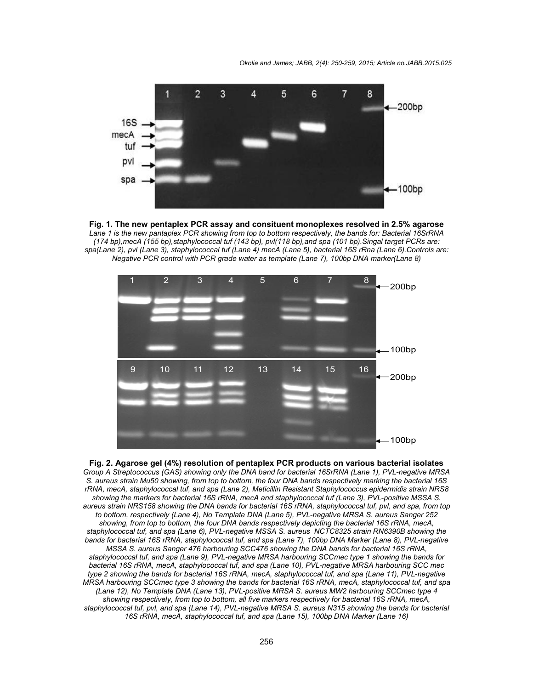*Okolie and James; JABB, 2(4): 250-259, 2015; Article no.JABB.2015.025*







#### **Fig. 2. Agarose gel (4%) resolution of pentaplex PCR products on various bacterial isolates**

*Group A Streptococcus (GAS) showing only the DNA band for bacterial 16SrRNA (Lane 1), PVL-negative MRSA S. aureus strain Mu50 showing, from top to bottom, the four DNA bands respectively marking the bacterial 16S rRNA, mecA, staphylococcal tuf, and spa (Lane 2), Meticillin Resistant Staphylococcus epidermidis strain NRS8 showing the markers for bacterial 16S rRNA, mecA and staphylococcal tuf (Lane 3), PVL-positive MSSA S. aureus strain NRS158 showing the DNA bands for bacterial 16S rRNA, staphylococcal tuf, pvl, and spa, from top to bottom, respectively (Lane 4), No Template DNA (Lane 5), PVL-negative MRSA S. aureus Sanger 252 showing, from top to bottom, the four DNA bands respectively depicting the bacterial 16S rRNA, mecA, staphylococcal tuf, and spa (Lane 6), PVL-negative MSSA S. aureus NCTC8325 strain RN6390B showing the*  bands for bacterial 16S rRNA, staphylococcal tuf, and spa (Lane 7), 100bp DNA Marker (Lane 8), PVL-negative *MSSA S. aureus Sanger 476 harbouring SCC476 showing the DNA bands for bacterial 16S rRNA, staphylococcal tuf, and spa (Lane 9), PVL-negative MRSA harbouring SCCmec type 1 showing the bands for bacterial 16S rRNA, mecA, staphylococcal tuf, and spa (Lane 10), PVL-negative MRSA harbouring SCC mec type 2 showing the bands for bacterial 16S rRNA, mecA, staphylococcal tuf, and spa (Lane 11), PVL-negative MRSA harbouring SCCmec type 3 showing the bands for bacterial 16S rRNA, mecA, staphylococcal tuf, and spa (Lane 12), No Template DNA (Lane 13), PVL-positive MRSA S. aureus MW2 harbouring SCCmec type 4 showing respectively, from top to bottom, all five markers respectively for bacterial 16S rRNA, mecA, staphylococcal tuf, pvl, and spa (Lane 14), PVL-negative MRSA S. aureus N315 showing the bands for bacterial 16S rRNA, mecA, staphylococcal tuf, and spa (Lane 15), 100bp DNA Marker (Lane 16)*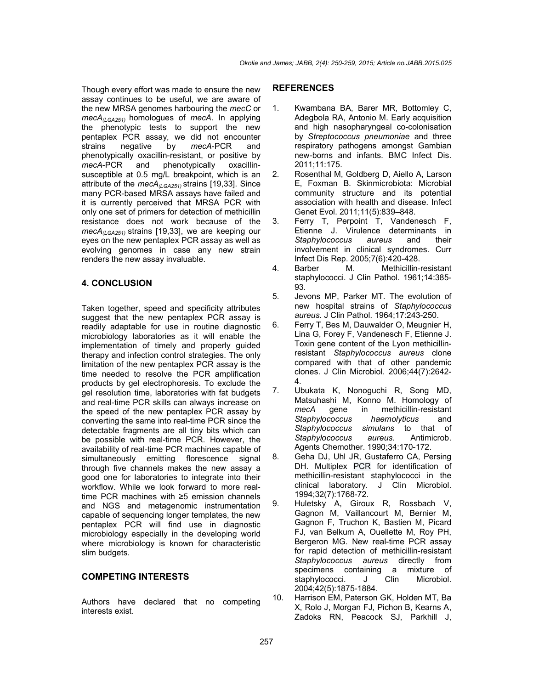Though every effort was made to ensure the new assay continues to be useful, we are aware of the new MRSA genomes harbouring the *mecC* or *mecA(LGA251)* homologues of *mecA*. In applying the phenotypic tests to support the new pentaplex PCR assay, we did not encounter strains negative by *mecA*-PCR and phenotypically oxacillin-resistant, or positive by *mecA*-PCR and phenotypically oxacillinsusceptible at 0.5 mg/L breakpoint, which is an attribute of the *mecA(LGA251)* strains [19,33]. Since many PCR-based MRSA assays have failed and it is currently perceived that MRSA PCR with only one set of primers for detection of methicillin resistance does not work because of the  $mech<sub>(0.64251)</sub>$  strains [19,33], we are keeping our eyes on the new pentaplex PCR assay as well as evolving genomes in case any new strain renders the new assay invaluable.

### **4. CONCLUSION**

Taken together, speed and specificity attributes suggest that the new pentaplex PCR assay is readily adaptable for use in routine diagnostic microbiology laboratories as it will enable the implementation of timely and properly guided therapy and infection control strategies. The only limitation of the new pentaplex PCR assay is the time needed to resolve the PCR amplification products by gel electrophoresis. To exclude the gel resolution time, laboratories with fat budgets and real-time PCR skills can always increase on the speed of the new pentaplex PCR assay by converting the same into real-time PCR since the detectable fragments are all tiny bits which can be possible with real-time PCR. However, the availability of real-time PCR machines capable of simultaneously emitting florescence signal through five channels makes the new assay a good one for laboratories to integrate into their workflow. While we look forward to more realtime PCR machines with ≥5 emission channels and NGS and metagenomic instrumentation capable of sequencing longer templates, the new pentaplex PCR will find use in diagnostic microbiology especially in the developing world where microbiology is known for characteristic slim budgets.

### **COMPETING INTERESTS**

Authors have declared that no competing interests exist.

#### **REFERENCES**

- 1. Kwambana BA, Barer MR, Bottomley C, Adegbola RA, Antonio M. Early acquisition and high nasopharyngeal co-colonisation by *Streptococcus pneumoniae* and three respiratory pathogens amongst Gambian new-borns and infants. BMC Infect Dis. 2011;11:175.
- 2. Rosenthal M, Goldberg D, Aiello A, Larson E, Foxman B. Skinmicrobiota: Microbial community structure and its potential association with health and disease. Infect Genet Evol. 2011;11(5):839–848.
- 3. Ferry T, Perpoint T, Vandenesch F, Etienne J. Virulence determinants in *Staphylococcus aureus* and their involvement in clinical syndromes. Curr Infect Dis Rep. 2005;7(6):420-428.
- 4. Barber M. Methicillin-resistant staphylococci. J Clin Pathol. 1961;14:385- 93.
- 5. Jevons MP, Parker MT. The evolution of new hospital strains of *Staphylococcus aureus*. J Clin Pathol. 1964;17:243-250.
- 6. Ferry T, Bes M, Dauwalder O, Meugnier H, Lina G, Forey F, Vandenesch F, Etienne J. Toxin gene content of the Lyon methicillinresistant *Staphylococcus aureus* clone compared with that of other pandemic clones. J Clin Microbiol. 2006;44(7):2642- 4.
- 7. Ubukata K, Nonoguchi R, Song MD, Matsuhashi M, Konno M. Homology of *mecA* gene in methicillin-resistant *Staphylococcus haemolyticus* and *Staphylococcus simulans* to that of *Staphylococcus aureus*. Antimicrob. Agents Chemother. 1990;34:170-172.
- 8. Geha DJ, Uhl JR, Gustaferro CA, Persing DH. Multiplex PCR for identification of methicillin-resistant staphylococci in the clinical laboratory. J Clin Microbiol. 1994;32(7):1768-72.
- 9. Huletsky A, Giroux R, Rossbach V, Gagnon M, Vaillancourt M, Bernier M, Gagnon F, Truchon K, Bastien M, Picard FJ, van Belkum A, Ouellette M, Roy PH, Bergeron MG. New real-time PCR assay for rapid detection of methicillin-resistant *Staphylococcus aureus* directly from specimens containing a mixture of<br>staphylococci. J Clin Microbiol. staphylococci. J Clin 2004;42(5):1875-1884.
- 10. Harrison EM, Paterson GK, Holden MT, Ba X, Rolo J, Morgan FJ, Pichon B, Kearns A, Zadoks RN, Peacock SJ, Parkhill J,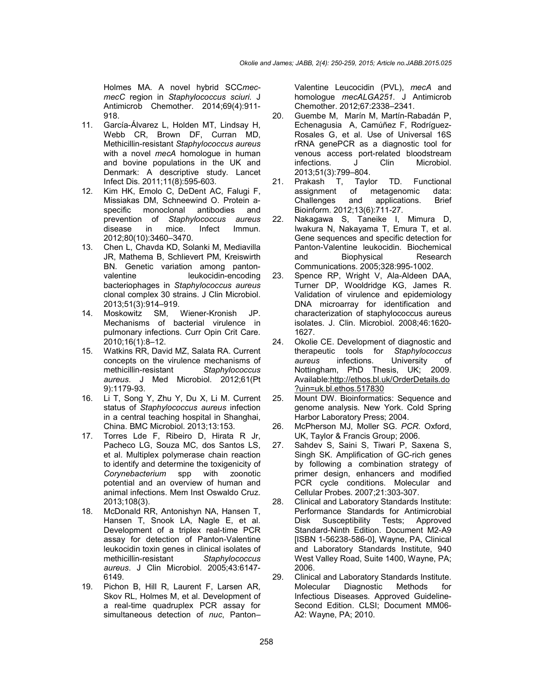Holmes MA. A novel hybrid SCC*mecmecC* region in *Staphylococcus sciuri*. J Antimicrob Chemother. 2014;69(4):911- 918.

- 11. García-Álvarez L, Holden MT, Lindsay H, Webb CR, Brown DF, Curran MD, Methicillin-resistant *Staphylococcus aureus* with a novel *mecA* homologue in human and bovine populations in the UK and Denmark: A descriptive study. Lancet Infect Dis. 2011;11(8):595-603.
- 12. Kim HK, Emolo C, DeDent AC, Falugi F, Missiakas DM, Schneewind O. Protein aspecific monoclonal antibodies and prevention of *Staphylococcus aureus* disease in mice. Infect Immun. 2012;80(10):3460–3470.
- 13. Chen L, Chavda KD, Solanki M, Mediavilla JR, Mathema B, Schlievert PM, Kreiswirth BN. Genetic variation among pantonvalentine leukocidin-encoding bacteriophages in *Staphylococcus aureus* clonal complex 30 strains. J Clin Microbiol. 2013;51(3):914–919.
- 14. Moskowitz SM, Wiener-Kronish JP. Mechanisms of bacterial virulence in pulmonary infections. Curr Opin Crit Care. 2010;16(1):8–12.
- 15. Watkins RR, David MZ, Salata RA. Current concepts on the virulence mechanisms of methicillin-resistant *Staphylococcus aureus*. J Med Microbiol. 2012;61(Pt 9):1179-93.
- 16. Li T, Song Y, Zhu Y, Du X, Li M. Current status of *Staphylococcus aureus* infection in a central teaching hospital in Shanghai, China. BMC Microbiol. 2013;13:153.
- 17. Torres Lde F, Ribeiro D, Hirata R Jr, Pacheco LG, Souza MC, dos Santos LS, et al. Multiplex polymerase chain reaction to identify and determine the toxigenicity of *Corynebacterium* spp with zoonotic potential and an overview of human and animal infections. Mem Inst Oswaldo Cruz. 2013;108(3).
- 18. McDonald RR, Antonishyn NA, Hansen T, Hansen T, Snook LA, Nagle E, et al. Development of a triplex real-time PCR assay for detection of Panton-Valentine leukocidin toxin genes in clinical isolates of methicillin-resistant *Staphylococcus aureus*. J Clin Microbiol. 2005;43:6147- 6149.
- 19. Pichon B, Hill R, Laurent F, Larsen AR, Skov RL, Holmes M, et al. Development of a real-time quadruplex PCR assay for simultaneous detection of *nuc*, Panton–

Valentine Leucocidin (PVL), *mecA* and homologue *mecALGA251*. J Antimicrob Chemother. 2012;67:2338–2341.

- 20. Guembe M, Marín M, Martín-Rabadán P, Echenagusia A, Camúñez F, Rodríguez-Rosales G, et al. Use of Universal 16S rRNA genePCR as a diagnostic tool for venous access port-related bloodstream infections. J Clin Microbiol.
- 2013;51(3):799–804. 21. Prakash T, Taylor TD. Functional<br>assignment of metagenomic data: assignment of metagenomic data: Challenges and applications. Brief Bioinform. 2012;13(6):711-27.
- 22. Nakagawa S, Taneike I, Mimura D, Iwakura N, Nakayama T, Emura T, et al. Gene sequences and specific detection for Panton-Valentine leukocidin. Biochemical and Biophysical Research Communications. 2005;328:995-1002.
- 23. Spence RP, Wright V, Ala-Aldeen DAA, Turner DP, Wooldridge KG, James R. Validation of virulence and epidemiology DNA microarray for identification and characterization of staphylococcus aureus isolates. J. Clin. Microbiol. 2008;46:1620- 1627.
- 24. Okolie CE. Development of diagnostic and therapeutic tools for *Staphylococcus aureus* infections. University of Nottingham, PhD Thesis, UK; 2009. Available:http://ethos.bl.uk/OrderDetails.do ?uin=uk.bl.ethos.517830
- 25. Mount DW. Bioinformatics: Sequence and genome analysis. New York. Cold Spring Harbor Laboratory Press; 2004.
- 26. McPherson MJ, Moller SG. *PCR.* Oxford, UK, Taylor & Francis Group; 2006.
- 27. Sahdev S, Saini S, Tiwari P, Saxena S, Singh SK. Amplification of GC-rich genes by following a combination strategy of primer design, enhancers and modified PCR cycle conditions. Molecular and Cellular Probes. 2007;21:303-307.
- 28. Clinical and Laboratory Standards Institute: Performance Standards for Antimicrobial Disk Susceptibility Tests; Approved Standard-Ninth Edition. Document M2-A9 [ISBN 1-56238-586-0], Wayne, PA, Clinical and Laboratory Standards Institute, 940 West Valley Road, Suite 1400, Wayne, PA; 2006.
- 29. Clinical and Laboratory Standards Institute. Molecular Diagnostic Methods for Infectious Diseases. Approved Guideline-Second Edition. CLSI; Document MM06- A2: Wayne, PA; 2010.